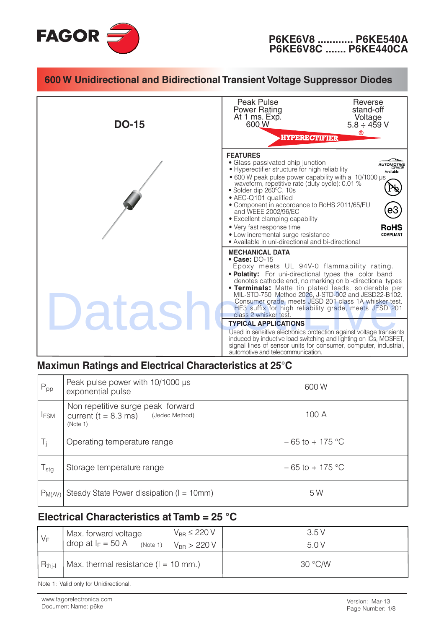



#### Maximun Ratings and Electrical Characteristics at 25°C

| $P_{\text{pp}}$ | Peak pulse power with 10/1000 µs<br>exponential pulse                                      | 600W               |
|-----------------|--------------------------------------------------------------------------------------------|--------------------|
| <b>IFSM</b>     | Non repetitive surge peak forward<br>(Jedec Method)<br>current ( $t = 8.3$ ms)<br>(Note 1) | 100 A              |
| Ti              | Operating temperature range                                                                | $-65$ to $+175$ °C |
| l stg           | Storage temperature range                                                                  | $-65$ to $+175$ °C |
| $P_{M(AV)}$     | Steady State Power dissipation ( $I = 10$ mm)                                              | 5 W                |

#### Electrical Characteristics at Tamb =  $25^{\circ}$ C

| $V_F$       | Max. forward voltage<br>drop at $I_F = 50$ A<br>(Note 1) | $V_{BB} \leq 220 V$<br>$V_{BB}$ > 220 V | 3.5V<br>5.0 V |
|-------------|----------------------------------------------------------|-----------------------------------------|---------------|
| $R_{thi-l}$ | Max. thermal resistance $(l = 10$ mm.)                   |                                         | 30 °C/W       |

Note 1: Valid only for Unidirectional.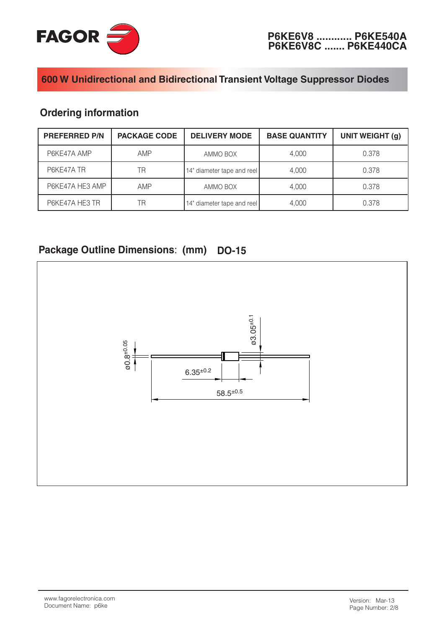

## **Ordering information**

| <b>PREFERRED P/N</b><br><b>PACKAGE CODE</b> |                                  | <b>DELIVERY MODE</b>       | <b>BASE QUANTITY</b> | <b>UNIT WEIGHT (g)</b> |
|---------------------------------------------|----------------------------------|----------------------------|----------------------|------------------------|
| P6KE47A AMP                                 | AMP                              | AMMO BOX                   | 4.000                | 0.378                  |
| P6KE47A TR                                  | ΤR<br>14" diameter tape and reel |                            | 4.000                | 0.378                  |
| P6KE47A HE3 AMP                             | <b>AMP</b><br>AMMO BOX           |                            | 4.000                | 0.378                  |
| P6KE47A HE3 TR                              | ΓR                               | 14" diameter tape and reel | 4.000                | 0.378                  |

#### Package Outline Dimensions: (mm) **DO-15**

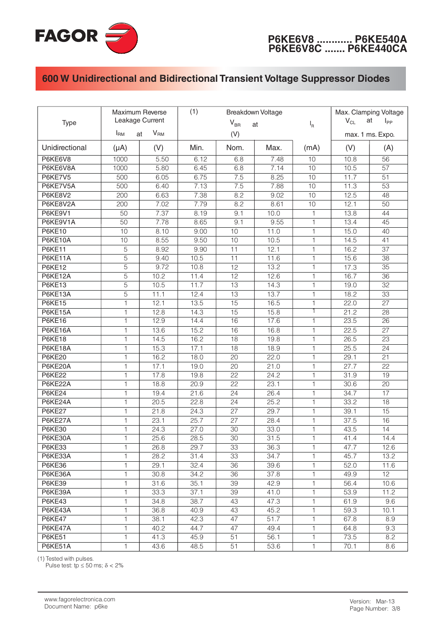

| <b>Type</b>    | Maximum Reverse<br>Leakage Current<br>V <sub>RM</sub><br>$I_{\rm RM}$<br>at |      | (1)<br><b>Breakdown Voltage</b><br>$V_{BR}$<br>at<br>(V) |                 |      | $I_R$        | Max. Clamping Voltage<br>at<br>$V_{CL}$<br>$I_{PP}$<br>max. 1 ms. Expo. |                 |
|----------------|-----------------------------------------------------------------------------|------|----------------------------------------------------------|-----------------|------|--------------|-------------------------------------------------------------------------|-----------------|
|                |                                                                             |      |                                                          |                 |      |              |                                                                         |                 |
| Unidirectional | $(\mu A)$                                                                   | (V)  | Min.                                                     | Nom.            | Max. | (mA)         | (V)                                                                     | (A)             |
| P6KE6V8        | 1000                                                                        | 5.50 | 6.12                                                     | 6.8             | 7.48 | 10           | 10.8                                                                    | 56              |
| P6KE6V8A       | 1000                                                                        | 5.80 | 6.45                                                     | 6.8             | 7.14 | 10           | 10.5                                                                    | 57              |
| P6KE7V5        | 500                                                                         | 6.05 | 6.75                                                     | 7.5             | 8.25 | 10           | 11.7                                                                    | 51              |
| P6KE7V5A       | 500                                                                         | 6.40 | 7.13                                                     | 7.5             | 7.88 | 10           | 11.3                                                                    | 53              |
| P6KE8V2        | 200                                                                         | 6.63 | 7.38                                                     | 8.2             | 9.02 | 10           | 12.5                                                                    | 48              |
| P6KE8V2A       | 200                                                                         | 7.02 | 7.79                                                     | 8.2             | 8.61 | 10           | 12.1                                                                    | 50              |
| P6KE9V1        | 50                                                                          | 7.37 | 8.19                                                     | 9.1             | 10.0 | $\mathbf{1}$ | 13.8                                                                    | 44              |
| P6KE9V1A       | 50                                                                          | 7.78 | 8.65                                                     | 9.1             | 9.55 | 1            | 13.4                                                                    | 45              |
| <b>P6KE10</b>  | 10                                                                          | 8.10 | 9.00                                                     | 10              | 11.0 | 1            | 15.0                                                                    | 40              |
| <b>P6KE10A</b> | 10                                                                          | 8.55 | 9.50                                                     | 10              | 10.5 | 1            | 14.5                                                                    | 41              |
| <b>P6KE11</b>  | $\overline{5}$                                                              | 8.92 | 9.90                                                     | 11              | 12.1 | 1            | 16.2                                                                    | $\overline{37}$ |
| P6KE11A        | $\overline{5}$                                                              | 9.40 | 10.5                                                     | 11              | 11.6 | $\mathbf{1}$ | 15.6                                                                    | 38              |
| <b>P6KE12</b>  | $\overline{5}$                                                              | 9.72 | 10.8                                                     | $\overline{12}$ | 13.2 | 1            | 17.3                                                                    | 35              |
| P6KE12A        | 5                                                                           | 10.2 | 11.4                                                     | 12              | 12.6 | 1            | 16.7                                                                    | 36              |
| <b>P6KE13</b>  | 5                                                                           | 10.5 | 11.7                                                     | 13              | 14.3 | 1            | 19.0                                                                    | 32              |
| P6KE13A        | $\overline{5}$                                                              | 11.1 | 12.4                                                     | 13              | 13.7 | 1            | 18.2                                                                    | 33              |
| <b>P6KE15</b>  | $\mathbf{1}$                                                                | 12.1 | 13.5                                                     | 15              | 16.5 | 1            | 22.0                                                                    | 27              |
| P6KE15A        | 1                                                                           | 12.8 | 14.3                                                     | $\overline{15}$ | 15.8 | 1            | 21.2                                                                    | 28              |
| <b>P6KE16</b>  | 1                                                                           | 12.9 | 14.4                                                     | 16              | 17.6 | 1            | 23.5                                                                    | $\overline{26}$ |
| P6KE16A        | 1                                                                           | 13.6 | 15.2                                                     | 16              | 16.8 | 1            | 22.5                                                                    | 27              |
| <b>P6KE18</b>  | 1                                                                           | 14.5 | 16.2                                                     | 18              | 19.8 | 1            | 26.5                                                                    | 23              |
| P6KE18A        | 1                                                                           | 15.3 | 17.1                                                     | 18              | 18.9 | 1            | 25.5                                                                    | 24              |
| <b>P6KE20</b>  | 1                                                                           | 16.2 | 18.0                                                     | 20              | 22.0 | 1            | 29.1                                                                    | 21              |
| P6KE20A        | 1                                                                           | 17.1 | 19.0                                                     | 20              | 21.0 | 1            | 27.7                                                                    | 22              |
| <b>P6KE22</b>  | $\mathbf{1}$                                                                | 17.8 | 19.8                                                     | 22              | 24.2 | $\mathbf{1}$ | 31.9                                                                    | 19              |
| P6KE22A        | 1                                                                           | 18.8 | 20.9                                                     | 22              | 23.1 | $\mathbf{1}$ | 30.6                                                                    | 20              |
| <b>P6KE24</b>  | 1                                                                           | 19.4 | 21.6                                                     | 24              | 26.4 | $\mathbf{1}$ | 34.7                                                                    | 17              |
| P6KE24A        | 1                                                                           | 20.5 | 22.8                                                     | 24              | 25.2 | $\mathbf{1}$ | 33.2                                                                    | 18              |
| <b>P6KE27</b>  | 1                                                                           | 21.8 | $\overline{2}4.3$                                        | 27              | 29.7 | $\mathbf{1}$ | 39.1                                                                    | 15              |
| P6KE27A        | 1                                                                           | 23.1 | 25.7                                                     | 27              | 28.4 | $\mathbf{1}$ | 37.5                                                                    | 16              |
| <b>P6KE30</b>  | 1                                                                           | 24.3 | 27.0                                                     | 30              | 33.0 | $\mathbf{1}$ | 43.5                                                                    | 14              |
| P6KE30A        | 1                                                                           | 25.6 | 28.5                                                     | $\overline{30}$ | 31.5 | 1            | 41.4                                                                    | 14.4            |
| <b>P6KE33</b>  | 1                                                                           | 26.8 | 29.7                                                     | 33              | 36.3 | 1            | 47.7                                                                    | 12.6            |
| P6KE33A        | 1.                                                                          | 28.2 | 31.4                                                     | 33              | 34.7 | 1            | 45.7                                                                    | 13.2            |
| P6KE36         | 1                                                                           | 29.1 | 32.4                                                     | 36              | 39.6 | 1            | 52.0                                                                    | 11.6            |
| P6KE36A        | 1                                                                           | 30.8 | 34.2                                                     | 36              | 37.8 | 1            | 49.9                                                                    | 12 <sup>2</sup> |
| <b>P6KE39</b>  | 1                                                                           | 31.6 | 35.1                                                     | 39              | 42.9 | 1            | 56.4                                                                    | 10.6            |
| P6KE39A        | 1                                                                           | 33.3 | 37.1                                                     | 39              | 41.0 | 1            | 53.9                                                                    | 11.2            |
| <b>P6KE43</b>  | 1                                                                           | 34.8 | 38.7                                                     | 43              | 47.3 | 1            | 61.9                                                                    | 9.6             |
| P6KE43A        | 1                                                                           | 36.8 | 40.9                                                     | 43              | 45.2 | 1            | 59.3                                                                    | 10.1            |
| <b>P6KE47</b>  | $\mathbf{1}$                                                                | 38.1 | 42.3                                                     | 47              | 51.7 | 1            | 67.8                                                                    | 8.9             |
| P6KE47A        | 1                                                                           | 40.2 | 44.7                                                     | 47              | 49.4 | 1            | 64.8                                                                    | 9.3             |
| <b>P6KE51</b>  | 1                                                                           | 41.3 | 45.9                                                     | 51              | 56.1 | 1            | 73.5                                                                    | 8.2             |
| P6KE51A        | 1                                                                           | 43.6 | 48.5                                                     | 51              | 53.6 | 1            | 70.1                                                                    | 8.6             |

(1) Tested with pulses.

Pulse test: tp  $\leq$  50 ms;  $\delta$  < 2%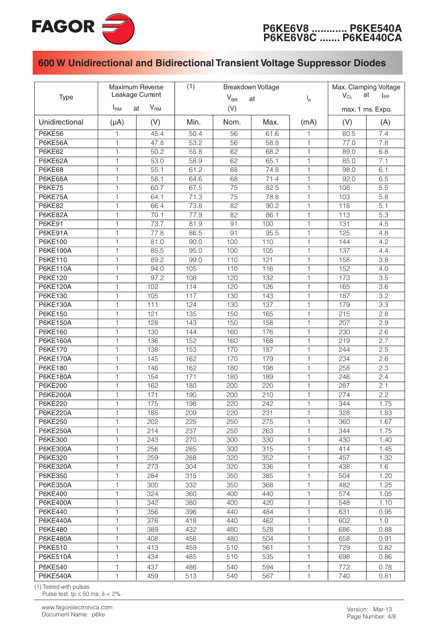

|                            | Maximum Reverse<br>Leakage Current    |            | (1)            | Breakdown Voltage | Max. Clamping Voltage<br>at |              |            |                  |
|----------------------------|---------------------------------------|------------|----------------|-------------------|-----------------------------|--------------|------------|------------------|
| <b>Type</b>                |                                       |            | $V_{BR}$<br>at |                   |                             | $I_R$        | $V_{CL}$   | $I_{PP}$         |
|                            | V <sub>RM</sub><br>$I_{\rm RM}$<br>at |            | (V)            |                   |                             |              |            | max. 1 ms. Expo. |
| Unidirectional             | $(\mu A)$                             | (V)        | Min.           | Nom.              | Max.                        | (mA)         | (V)        | (A)              |
| <b>P6KE56</b>              | 1                                     | 45.4       | 50.4           | 56                | 61.6                        | 1            | 80.5       | 7.4              |
| P6KE56A                    | 1                                     | 47.8       | 53.2           | 56                | 58.8                        | $\mathbf{1}$ | 77.0       | 7.8              |
| <b>P6KE62</b>              | 1                                     | 50.2       | 55.8           | 62                | 68.2                        | $\mathbf{1}$ | 89.0       | 6.8              |
| P6KE62A                    | 1                                     | 53.0       | 58.9           | 62                | 65.1                        | $\mathbf{1}$ | 85.0       | 7.1              |
| <b>P6KE68</b>              | 1                                     | 55.1       | 61.2           | 68                | 74.8                        | $\mathbf{1}$ | 98.0       | 6.1              |
| P6KE68A                    | 1                                     | 58.1       | 64.6           | 68                | 71.4                        | $\mathbf{1}$ | 92.0       | 6.5              |
| <b>P6KE75</b>              | 1                                     | 60.7       | 67.5           | 75                | 82.5                        | 1            | 108        | 5.5              |
| P6KE75A                    | 1                                     | 64.1       | 71.3           | 75                | 78.8                        | $\mathbf{1}$ | 103        | 5.8              |
| <b>P6KE82</b>              | 1                                     | 66.4       | 73.8           | 82                | 90.2                        | 1            | 118        | 5.1              |
| P6KE82A                    | 1                                     | 70.1       | 77.9           | 82                | 86.1                        | 1            | 113        | 5.3              |
| <b>P6KE91</b>              | 1                                     | 73.7       | 81.9           | 91                | 100                         | 1            | 131        | 4.5              |
| P6KE91A                    | 1                                     | 77.8       | 86.5           | 91                | 95.5                        | 1            | 125        | 4.8              |
| P6KE100                    | 1                                     | 81.0       | 90.0           | 100               | 110                         | 1            | 144        | 4.2              |
| <b>P6KE100A</b>            | 1                                     | 85.5       | 95.0           | 100               | 105                         | 1            | 137        | 4.4              |
| <b>P6KE110</b>             | 1                                     | 89.2       | 99.0           | 110               | 121                         | $\mathbf{1}$ | 158        | 3.8              |
| <b>P6KE110A</b>            | 1                                     | 94.0       | 105            | 110               | 116                         | $\mathbf{1}$ | 152        | 4.0              |
| P6KE120                    | 1                                     | 97.2       | 108            | 120               | 132                         | $\mathbf{1}$ | 173        | 3.5              |
| P6KE120A                   | 1                                     | 102        | 114            | 120               | 126                         | 1            | 165        | 3.6              |
| P6KE130                    | 1                                     | 105        | 117            | 130               | 143                         | 1            | 187        | 3.2              |
| P6KE130A                   | 1                                     | 111        | 124            | 130               | 137                         | 1            | 179        | 3.3              |
| <b>P6KE150</b>             | 1                                     | 121        | 135            | 150               | 165                         | 1            | 215        | 2.8              |
| <b>P6KE150A</b>            | 1                                     | 128        | 143            | 150               | 158                         | 1            | 207        | 2.9              |
| <b>P6KE160</b>             | 1                                     | 130        | 144            | 160               | 176                         | 1            | 230        | 2.6              |
| P6KE160A                   | 1                                     | 136        | 152            | 160               | 168                         | 1            | 219        | 2.7              |
| P6KE170                    | 1                                     | 138        | 153            | 170               | 187                         | 1            | 244        | 2.5              |
| <b>P6KE170A</b>            | 1                                     | 145        | 162            | 170               | 179                         | 1            | 234        | 2.6              |
| P6KE180                    | 1                                     | 146        | 162            | 180               | 198                         | 1            | 258        | 2.3              |
| <b>P6KE180A</b>            | 1                                     | 154        | 171            | 180               | 189                         | 1            | 246        | 2.4              |
| <b>P6KE200</b>             | 1                                     | 162        | 180            | 200               | 220                         | 1            | 287        | 2.1              |
| <b>P6KE200A</b>            | 1                                     | 171        | 190            | 200               | 210                         | 1            | 274        | 2.2              |
| <b>P6KE220</b>             | 1                                     | 175        | 198            | 220               | 242                         | 1            | 344        | 1.75             |
| <b>P6KE220A</b>            | $\mathbf{1}$                          | 185        | 209            | 220               | 231                         | $\mathbf{1}$ | 328        | 1.83             |
| P6KE250                    | 1                                     | 202        | 225            | 250               | 275                         | $\mathbf{1}$ | 360        | 1.67             |
| <b>P6KE250A</b>            | 1<br>1                                | 214        | 237            | 250               | 263                         | 1            | 344        | 1.75             |
| P6KE300<br><b>P6KE300A</b> | 1                                     | 243        | 270            | 300               | 330                         | 1<br>1       | 430        | 1.40             |
| P6KE320                    | 1                                     | 256<br>259 | 285<br>288     | 300<br>320        | 315<br>352                  | 1            | 414<br>457 | 1.45<br>1.32     |
| P6KE320A                   | 1                                     | 273        | 304            |                   | 336                         | 1            | 438        |                  |
| P6KE350                    | 1                                     | 284        |                | 320               | 385                         | 1            | 504        | 1.6<br>1.20      |
| <b>P6KE350A</b>            | 1                                     |            | 315<br>332     | 350               |                             | 1            | 482        |                  |
| P6KE400                    | 1                                     | 300<br>324 | 360            | 350<br>400        | 368<br>440                  | 1            | 574        | 1.25<br>1.05     |
| <b>P6KE400A</b>            | 1                                     | 342        | 380            | 400               | 420                         | 1            | 548        |                  |
| P6KE440                    | 1                                     | 356        | 396            | 440               | 484                         | 1            | 631        | 1.10<br>0.95     |
| <b>P6KE440A</b>            | 1                                     | 376        | 418            | 440               | 462                         | 1            | 602        | 1.0              |
| P6KE480                    | 1                                     | 389        | 432            | 480               | 528                         | 1            | 686        | 0.88             |
| <b>P6KE480A</b>            | 1                                     | 408        | 456            | 480               | 504                         | 1            | 658        | 0.91             |
| P6KE510                    | 1                                     | 413        | 459            | 510               | 561                         | 1            | 729        | 0.82             |
| <b>P6KE510A</b>            | 1                                     | 434        | 485            | 510               | 535                         | 1            | 698        | 0.86             |
|                            |                                       |            |                |                   |                             |              |            |                  |
| P6KE540                    | 1                                     | 437        | 486            | 540               | 594                         | 1            | 772        | 0.78             |
| <b>P6KE540A</b>            | 1                                     | 459        | 513            | 540               | 567                         | 1            | 740        | 0.81             |

(1) Tested with pulses.

Pulse test: tp  $\leq$  50 ms;  $\delta$  < 2%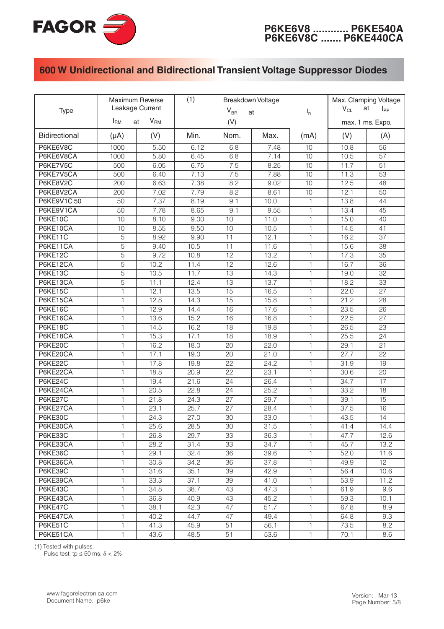

| <b>Type</b>          | Maximum Reverse<br>Leakage Current    |      | (1)<br>Breakdown Voltage<br>$V_{BR}$<br>at |                 |      | $I_R$        | Max. Clamping Voltage<br>$V_{CL}$<br>at<br>$I_{PP}$<br>max. 1 ms. Expo. |                 |
|----------------------|---------------------------------------|------|--------------------------------------------|-----------------|------|--------------|-------------------------------------------------------------------------|-----------------|
|                      | V <sub>RM</sub><br>$I_{\rm RM}$<br>at |      | (V)                                        |                 |      |              |                                                                         |                 |
| <b>Bidirectional</b> | $(\mu A)$                             | (V)  | Min.                                       | Nom.            | Max. | (mA)         | (V)                                                                     | (A)             |
| P6KE6V8C             | 1000                                  | 5.50 | 6.12                                       | 6.8             | 7.48 | 10           | 10.8                                                                    | 56              |
| P6KE6V8CA            | 1000                                  | 5.80 | 6.45                                       | 6.8             | 7.14 | 10           | 10.5                                                                    | 57              |
| P6KE7V5C             | 500                                   | 6.05 | 6.75                                       | 7.5             | 8.25 | 10           | 11.7                                                                    | 51              |
| P6KE7V5CA            | 500                                   | 6.40 | 7.13                                       | 7.5             | 7.88 | 10           | 11.3                                                                    | $\overline{53}$ |
| P6KE8V2C             | 200                                   | 6.63 | 7.38                                       | 8.2             | 9.02 | 10           | 12.5                                                                    | 48              |
| P6KE8V2CA            | 200                                   | 7.02 | 7.79                                       | 8.2             | 8.61 | 10           | 12.1                                                                    | 50              |
| P6KE9V1C50           | $\overline{50}$                       | 7.37 | 8.19                                       | 9.1             | 10.0 | $\mathbf{1}$ | 13.8                                                                    | 44              |
| P6KE9V1CA            | $\overline{50}$                       | 7.78 | 8.65                                       | 9.1             | 9.55 | $\mathbf{1}$ | 13.4                                                                    | 45              |
| <b>P6KE10C</b>       | 10                                    | 8.10 | 9.00                                       | 10              | 11.0 | 1            | 15.0                                                                    | 40              |
| P6KE10CA             | 10                                    | 8.55 | 9.50                                       | 10              | 10.5 | 1            | 14.5                                                                    | 41              |
| P6KE11C              | $\overline{5}$                        | 8.92 | 9.90                                       | 11              | 12.1 | 1            | 16.2                                                                    | $\overline{37}$ |
| P6KE11CA             | $\overline{5}$                        | 9.40 | 10.5                                       | 11              | 11.6 | 1            | 15.6                                                                    | $\overline{38}$ |
| <b>P6KE12C</b>       | $\overline{5}$                        | 9.72 | 10.8                                       | $\overline{12}$ | 13.2 | 1            | 17.3                                                                    | $\overline{35}$ |
| P6KE12CA             | 5                                     | 10.2 | 11.4                                       | 12              | 12.6 | 1            | 16.7                                                                    | 36              |
| P6KE13C              | 5                                     | 10.5 | 11.7                                       | 13              | 14.3 | 1            | 19.0                                                                    | 32              |
| P6KE13CA             | 5                                     | 11.1 | 12.4                                       | 13              | 13.7 | 1            | 18.2                                                                    | 33              |
| <b>P6KE15C</b>       | $\mathbf{1}$                          | 12.1 | 13.5                                       | 15              | 16.5 | 1            | 22.0                                                                    | 27              |
| P6KE15CA             | $\mathbf{1}$                          | 12.8 | 14.3                                       | 15              | 15.8 | 1            | 21.2                                                                    | 28              |
| <b>P6KE16C</b>       | 1                                     | 12.9 | 14.4                                       | 16              | 17.6 | 1            | 23.5                                                                    | $\overline{26}$ |
| P6KE16CA             | 1                                     | 13.6 | 15.2                                       | 16              | 16.8 | 1            | 22.5                                                                    | $\overline{27}$ |
| <b>P6KE18C</b>       | 1                                     | 14.5 | 16.2                                       | $\overline{18}$ | 19.8 | $\mathbf{1}$ | 26.5                                                                    | $\overline{23}$ |
| P6KE18CA             | $\mathbf{1}$                          | 15.3 | 17.1                                       | 18              | 18.9 | $\mathbf{1}$ | 25.5                                                                    | 24              |
| <b>P6KE20C</b>       | $\mathbf{1}$                          | 16.2 | 18.0                                       | 20              | 22.0 | $\mathbf{1}$ | 29.1                                                                    | 21              |
| P6KE20CA             | $\mathbf{1}$                          | 17.1 | 19.0                                       | 20              | 21.0 | $\mathbf{1}$ | 27.7                                                                    | 22              |
| <b>P6KE22C</b>       | $\mathbf{1}$                          | 17.8 | 19.8                                       | 22              | 24.2 | $\mathbf{1}$ | 31.9                                                                    | 19              |
| P6KE22CA             | $\mathbf{1}$                          | 18.8 | 20.9                                       | $\overline{22}$ | 23.1 | $\mathbf{1}$ | 30.6                                                                    | $\overline{20}$ |
| P6KE24C              | $\mathbf{1}$                          | 19.4 | 21.6                                       | $\overline{24}$ | 26.4 | $\mathbf{1}$ | 34.7                                                                    | 17              |
| P6KE24CA             | $\mathbf{1}$                          | 20.5 | 22.8                                       | 24              | 25.2 | $\mathbf{1}$ | 33.2                                                                    | 18              |
| P6KE27C              | $\mathbf{1}$                          | 21.8 | 24.3                                       | 27              | 29.7 | $\mathbf{1}$ | 39.1                                                                    | 15              |
| P6KE27CA             | $\mathbf{1}$                          | 23.1 | 25.7                                       | 27              | 28.4 | $\mathbf{1}$ | 37.5                                                                    | 16              |
| <b>P6KE30C</b>       | $\mathbf{1}$                          | 24.3 | 27.0                                       | 30              | 33.0 | $\mathbf{1}$ | 43.5                                                                    | 14              |
| P6KE30CA             | 1                                     | 25.6 | 28.5                                       | $\overline{30}$ | 31.5 | 1            | 41.4                                                                    | 14.4            |
| P6KE33C              | 1                                     | 26.8 | 29.7                                       | 33              | 36.3 | 1            | 47.7                                                                    | 12.6            |
| P6KE33CA             | 1                                     | 28.2 | 31.4                                       | 33              | 34.7 | 1            | 45.7                                                                    | 13.2            |
| P6KE36C              | 1                                     | 29.1 | 32.4                                       | 36              | 39.6 | 1            | 52.0                                                                    | 11.6            |
| P6KE36CA             | 1                                     | 30.8 | 34.2                                       | 36              | 37.8 | 1            | 49.9                                                                    | 12              |
| P6KE39C              | 1                                     | 31.6 | 35.1                                       | 39              | 42.9 | 1            | 56.4                                                                    | 10.6            |
| P6KE39CA             | 1                                     | 33.3 | 37.1                                       | 39              | 41.0 | 1            | 53.9                                                                    | 11.2            |
| P6KE43C              | 1                                     | 34.8 | 38.7                                       | 43              | 47.3 | 1            | 61.9                                                                    | 9.6             |
| P6KE43CA             | 1                                     | 36.8 | 40.9                                       | 43              | 45.2 | 1            | 59.3                                                                    | 10.1            |
| P6KE47C              | 1                                     | 38.1 | 42.3                                       | 47              | 51.7 | 1            | 67.8                                                                    | 8.9             |
| P6KE47CA             | 1                                     | 40.2 | 44.7                                       | 47              | 49.4 | 1            | 64.8                                                                    | 9.3             |
| P6KE51C              | 1                                     | 41.3 | 45.9                                       | 51              | 56.1 | 1            | 73.5                                                                    | 8.2             |
| P6KE51CA             | 1                                     | 43.6 | 48.5                                       | 51              | 53.6 | 1            | 70.1                                                                    | 8.6             |

(1) Tested with pulses.<br>Pulse test: tp  $\leq$  50 ms;  $\delta$  < 2%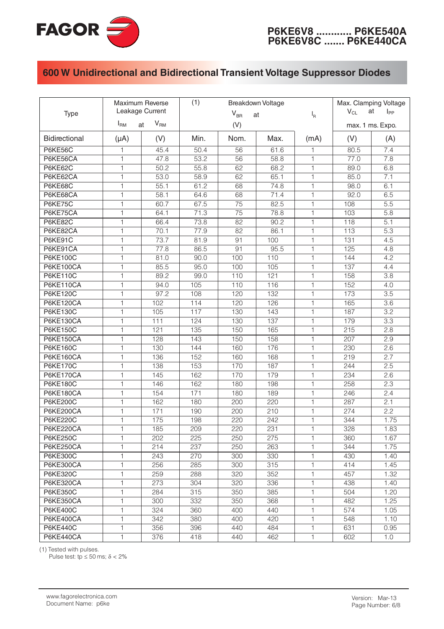

| Type                 | Maximum Reverse<br>Leakage Current<br>$V_{\mathsf{RM}}$<br>$I_{\rm RM}$<br>at |      | (1)<br>Breakdown Voltage<br>$V_{BR}$<br>at<br>(V) |      |      | $I_R$ | Max. Clamping Voltage<br>at<br>$V_{CL}$<br>$I_{PP}$<br>max. 1 ms. Expo. |                  |
|----------------------|-------------------------------------------------------------------------------|------|---------------------------------------------------|------|------|-------|-------------------------------------------------------------------------|------------------|
|                      |                                                                               |      |                                                   |      |      |       |                                                                         |                  |
| <b>Bidirectional</b> | $(\mu A)$                                                                     | (V)  | Min.                                              | Nom. | Max. | (mA)  | (V)                                                                     | (A)              |
| <b>P6KE56C</b>       | 1                                                                             | 45.4 | 50.4                                              | 56   | 61.6 | 1     | 80.5                                                                    | 7.4              |
| P6KE56CA             | 1                                                                             | 47.8 | 53.2                                              | 56   | 58.8 | 1     | 77.0                                                                    | 7.8              |
| <b>P6KE62C</b>       | 1                                                                             | 50.2 | 55.8                                              | 62   | 68.2 | 1     | 89.0                                                                    | 6.8              |
| P6KE62CA             | $\mathbf{1}$                                                                  | 53.0 | 58.9                                              | 62   | 65.1 | 1     | 85.0                                                                    | 7.1              |
| P6KE68C              | $\mathbf{1}$                                                                  | 55.1 | 61.2                                              | 68   | 74.8 | 1     | 98.0                                                                    | 6.1              |
| P6KE68CA             | $\mathbf{1}$                                                                  | 58.1 | 64.6                                              | 68   | 71.4 | 1     | 92.0                                                                    | 6.5              |
| P6KE75C              | $\mathbf{1}$                                                                  | 60.7 | 67.5                                              | 75   | 82.5 | 1     | 108                                                                     | 5.5              |
| P6KE75CA             | $\mathbf{1}$                                                                  | 64.1 | 71.3                                              | 75   | 78.8 | 1     | 103                                                                     | 5.8              |
| <b>P6KE82C</b>       | $\mathbf{1}$                                                                  | 66.4 | 73.8                                              | 82   | 90.2 | 1     | 118                                                                     | 5.1              |
| P6KE82CA             | $\mathbf{1}$                                                                  | 70.1 | 77.9                                              | 82   | 86.1 | 1     | 113                                                                     | $\overline{5.3}$ |
| P6KE91C              | $\mathbf{1}$                                                                  | 73.7 | 81.9                                              | 91   | 100  | 1     | 131                                                                     | 4.5              |
| P6KE91CA             | $\mathbf{1}$                                                                  | 77.8 | 86.5                                              | 91   | 95.5 | 1     | 125                                                                     | 4.8              |
| P6KE100C             | $\mathbf{1}$                                                                  | 81.0 | 90.0                                              | 100  | 110  | 1     | 144                                                                     | 4.2              |
| <b>P6KE100CA</b>     | $\mathbf{1}$                                                                  | 85.5 | 95.0                                              | 100  | 105  | 1     | 137                                                                     | 4.4              |
| <b>P6KE110C</b>      | $\mathbf{1}$                                                                  | 89.2 | 99.0                                              | 110  | 121  | 1     | 158                                                                     | 3.8              |
| <b>P6KE110CA</b>     | $\mathbf{1}$                                                                  | 94.0 | 105                                               | 110  | 116  | 1     | 152                                                                     | 4.0              |
| <b>P6KE120C</b>      | $\mathbf{1}$                                                                  | 97.2 | 108                                               | 120  | 132  | 1     | 173                                                                     | $\overline{3.5}$ |
| P6KE120CA            | $\mathbf{1}$                                                                  | 102  | 114                                               | 120  | 126  | 1     | 165                                                                     | 3.6              |
| <b>P6KE130C</b>      | $\mathbf{1}$                                                                  | 105  | 117                                               | 130  | 143  | 1     | 187                                                                     | 3.2              |
| P6KE130CA            | $\mathbf{1}$                                                                  | 111  | 124                                               | 130  | 137  | 1     | 179                                                                     | 3.3              |
| <b>P6KE150C</b>      | $\mathbf{1}$                                                                  | 121  | 135                                               | 150  | 165  | 1     | 215                                                                     | 2.8              |
| <b>P6KE150CA</b>     | $\mathbf{1}$                                                                  | 128  | 143                                               | 150  | 158  | 1     | 207                                                                     | 2.9              |
| <b>P6KE160C</b>      | $\mathbf{1}$                                                                  | 130  | 144                                               | 160  | 176  | 1     | 230                                                                     | 2.6              |
| <b>P6KE160CA</b>     | $\mathbf{1}$                                                                  | 136  | 152                                               | 160  | 168  | 1     | 219                                                                     | 2.7              |
| <b>P6KE170C</b>      | $\mathbf{1}$                                                                  | 138  | 153                                               | 170  | 187  | 1     | 244                                                                     | 2.5              |
| P6KE170CA            | $\mathbf{1}$                                                                  | 145  | 162                                               | 170  | 179  | 1     | 234                                                                     | 2.6              |
| P6KE180C             | $\mathbf{1}$                                                                  | 146  | 162                                               | 180  | 198  | 1     | 258                                                                     | 2.3              |
| <b>P6KE180CA</b>     | $\mathbf{1}$                                                                  | 154  | 171                                               | 180  | 189  | 1     | 246                                                                     | 2.4              |
| <b>P6KE200C</b>      | $\mathbf{1}$                                                                  | 162  | 180                                               | 200  | 220  | 1     | 287                                                                     | 2.1              |
| <b>P6KE200CA</b>     | $\mathbf{1}$                                                                  | 171  | 190                                               | 200  | 210  | 1     | 274                                                                     | 2.2              |
| <b>P6KE220C</b>      | 1                                                                             | 175  | 198                                               | 220  | 242  | 1     | 344                                                                     | 1.75             |
| <b>P6KE220CA</b>     | 1                                                                             | 185  | 209                                               | 220  | 231  | 1     | 328                                                                     | 1.83             |
| <b>P6KE250C</b>      | 1                                                                             | 202  | 225                                               | 250  | 275  | 1     | 360                                                                     | 1.67             |
| <b>P6KE250CA</b>     | 1                                                                             | 214  | 237                                               | 250  | 263  | 1     | 344                                                                     | 1.75             |
| <b>P6KE300C</b>      | 1                                                                             | 243  | 270                                               | 300  | 330  | 1     | 430                                                                     | 1.40             |
| <b>P6KE300CA</b>     | 1                                                                             | 256  | 285                                               | 300  | 315  | 1     | 414                                                                     | 1.45             |
| <b>P6KE320C</b>      | 1                                                                             | 259  | 288                                               | 320  | 352  | 1     | 457                                                                     | 1.32             |
| <b>P6KE320CA</b>     | 1                                                                             | 273  | 304                                               | 320  | 336  | 1     | 438                                                                     | 1.40             |
| <b>P6KE350C</b>      | $\mathbf{1}$                                                                  | 284  | 315                                               | 350  | 385  | 1     | 504                                                                     | 1.20             |
| <b>P6KE350CA</b>     | $\mathbf{1}$                                                                  | 300  | 332                                               | 350  | 368  | 1     | 482                                                                     | 1.25             |
| <b>P6KE400C</b>      | 1                                                                             | 324  | 360                                               | 400  | 440  | 1     | 574                                                                     | 1.05             |
| P6KE400CA            | $\mathbf{1}$                                                                  | 342  | 380                                               | 400  | 420  | 1     | 548                                                                     | 1.10             |
| <b>P6KE440C</b>      | 1                                                                             | 356  | 396                                               | 440  | 484  | 1     | 631                                                                     | 0.95             |
| P6KE440CA            | 1                                                                             | 376  | 418                                               | 440  | 462  | 1     | 602                                                                     | 1.0              |

(1) Tested with pulses.<br>Pulse test: tp  $\leq$  50 ms;  $\delta$  < 2%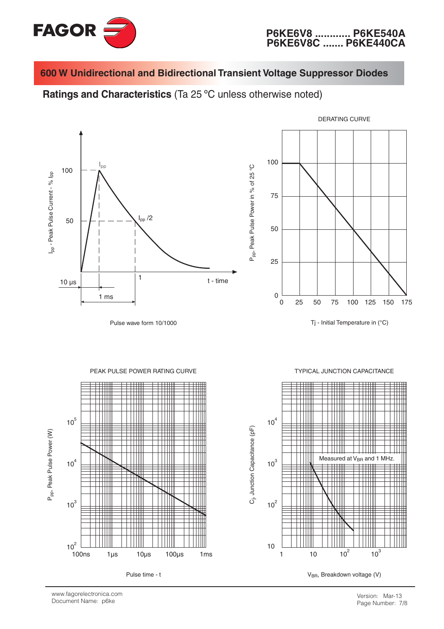

ပ္ပ

Ratings and Characteristics (Ta 25 °C unless otherwise noted)



Pulse wave form 10/1000



Tj - Initial Temperature in (°C)



**TYPICAL JUNCTION CAPACITANCE** 



www.fagorelectronica.com Document Name: p6ke